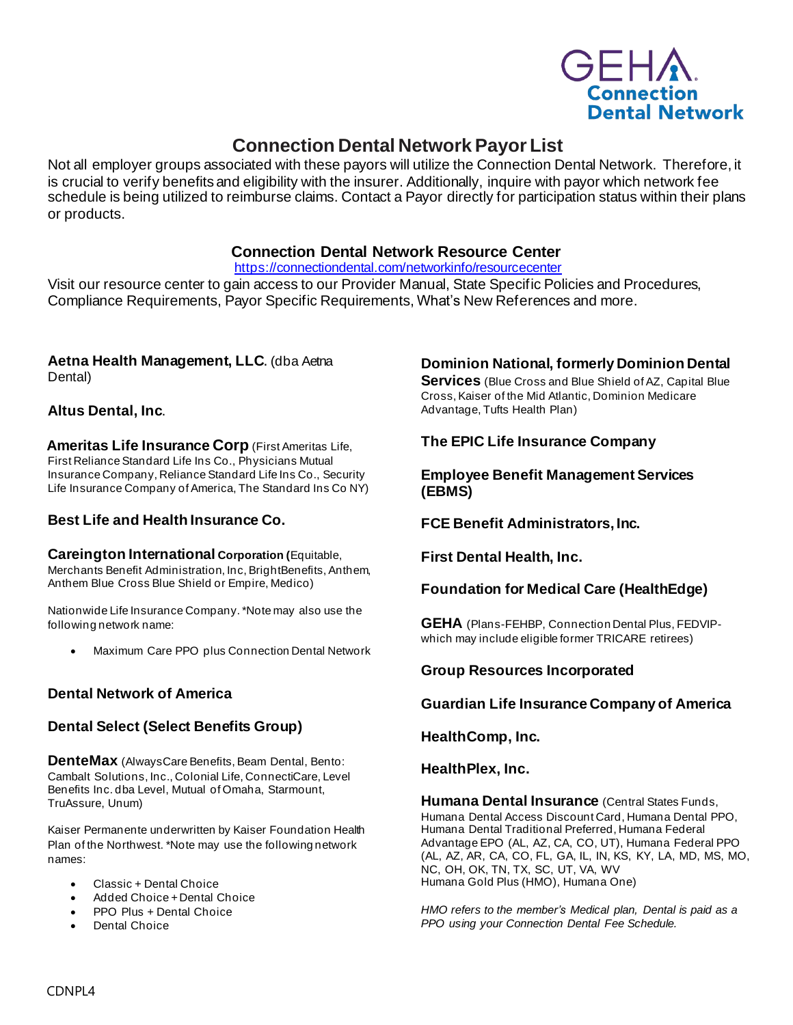

# **Connection Dental NetworkPayor List**

Not all employer groups associated with these payors will utilize the Connection Dental Network. Therefore, it is crucial to verify benefits and eligibility with the insurer. Additionally, inquire with payor which network fee schedule is being utilized to reimburse claims. Contact a Payor directly for participation status within their plans or products.

# **Connection Dental Network Resource Center**

#### <https://connectiondental.com/networkinfo/resourcecenter>

Visit our resource center to gain access to our Provider Manual, State Specific Policies and Procedures, Compliance Requirements, Payor Specific Requirements, What's New References and more.

#### **Aetna Health Management, LLC**. (dba Aetna Dental)

## **Altus Dental, Inc**.

**Ameritas Life Insurance Corp** (First Ameritas Life, First Reliance Standard Life Ins Co., Physicians Mutual Insurance Company, Reliance Standard Life Ins Co., Security Life Insurance Company of America, The Standard Ins Co NY)

## **Best Life and Health Insurance Co.**

**Careington International Corporation (**Equitable, Merchants Benefit Administration, Inc, BrightBenefits, Anthem, Anthem Blue Cross Blue Shield or Empire, Medico)

Nationwide Life Insurance Company. \*Note may also use the following network name:

• Maximum Care PPO plus Connection Dental Network

# **Dental Network of America**

## **Dental Select (Select Benefits Group)**

**DenteMax** (AlwaysCare Benefits, Beam Dental, Bento: Cambalt Solutions, Inc., Colonial Life, ConnectiCare, Level Benefits Inc. dba Level, Mutual of Omaha, Starmount, TruAssure, Unum)

Kaiser Permanente underwritten by Kaiser Foundation Health Plan of the Northwest. \*Note may use the following network names:

- Classic + Dental Choice
- Added Choice +Dental Choice
- PPO Plus + Dental Choice
- Dental Choice

## **Dominion National, formerly Dominion Dental**

**Services** (Blue Cross and Blue Shield of AZ, Capital Blue Cross, Kaiser of the Mid Atlantic, Dominion Medicare Advantage, Tufts Health Plan)

# **The EPIC Life Insurance Company**

**Employee Benefit Management Services (EBMS)**

**FCE Benefit Administrators, Inc.**

**First Dental Health, Inc.**

## **Foundation for Medical Care (HealthEdge)**

**GEHA** (Plans-FEHBP, Connection Dental Plus, FEDVIPwhich may include eligible former TRICARE retirees)

## **Group Resources Incorporated**

## **Guardian Life Insurance Company of America**

**HealthComp, Inc.**

**HealthPlex, Inc.**

**Humana Dental Insurance** (Central States Funds, Humana Dental Access Discount Card, Humana Dental PPO, Humana Dental Traditional Preferred, Humana Federal Advantage EPO (AL, AZ, CA, CO, UT), Humana Federal PPO (AL, AZ, AR, CA, CO, FL, GA, IL, IN, KS, KY, LA, MD, MS, MO, NC, OH, OK, TN, TX, SC, UT, VA, WV Humana Gold Plus (HMO), Humana One)

*HMO refers to the member's Medical plan, Dental is paid as a PPO using your Connection Dental Fee Schedule.*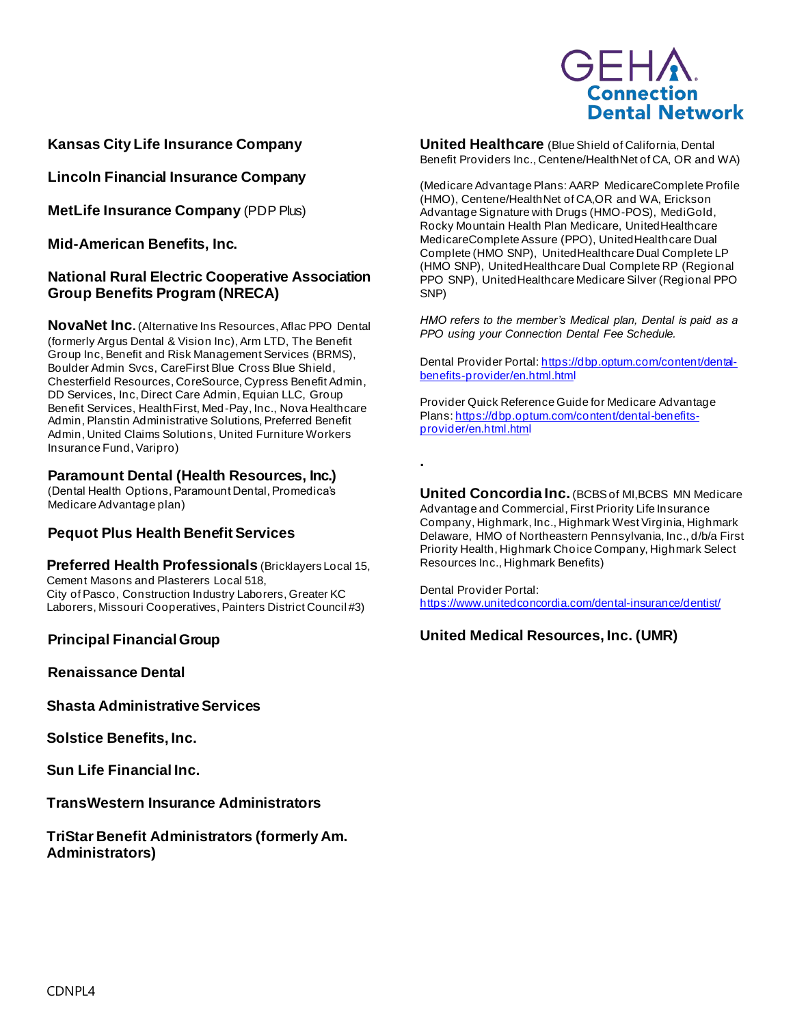

**Kansas City Life Insurance Company**

**Lincoln Financial Insurance Company**

**MetLife Insurance Company** (PDP Plus)

**Mid-American Benefits, Inc.**

#### **National Rural Electric Cooperative Association Group Benefits Program (NRECA)**

**NovaNet Inc.** (Alternative Ins Resources, Aflac PPO Dental (formerly Argus Dental & Vision Inc), Arm LTD, The Benefit Group Inc, Benefit and Risk Management Services (BRMS), Boulder Admin Svcs, CareFirst Blue Cross Blue Shield, Chesterfield Resources, CoreSource, Cypress Benefit Admin, DD Services, Inc, Direct Care Admin, Equian LLC, Group Benefit Services, HealthFirst, Med-Pay, Inc., Nova Healthcare Admin, Planstin Administrative Solutions, Preferred Benefit Admin, United Claims Solutions, United Furniture Workers Insurance Fund, Varipro)

#### **Paramount Dental (Health Resources, Inc.)**

(Dental Health Options, Paramount Dental, Promedica's Medicare Advantage plan)

#### **Pequot Plus Health Benefit Services**

**Preferred Health Professionals** (Bricklayers Local 15, Cement Masons and Plasterers Local 518, City of Pasco, Construction Industry Laborers, Greater KC Laborers, Missouri Cooperatives, Painters District Council #3)

**Principal Financial Group**

**Renaissance Dental**

**Shasta Administrative Services**

**Solstice Benefits, Inc.**

**Sun Life Financial Inc.**

**TransWestern Insurance Administrators**

**TriStar Benefit Administrators (formerly Am. Administrators)**

**United Healthcare** (Blue Shield of California, Dental Benefit Providers Inc., Centene/HealthNet of CA, OR and WA)

(Medicare Advantage Plans: AARP MedicareComplete Profile (HMO), Centene/HealthNet of CA,OR and WA, Erickson Advantage Signature with Drugs (HMO-POS), MediGold, Rocky Mountain Health Plan Medicare, UnitedHealthcare MedicareComplete Assure (PPO), UnitedHealthcare Dual Complete (HMO SNP), UnitedHealthcare Dual Complete LP (HMO SNP), UnitedHealthcare Dual Complete RP (Regional PPO SNP), UnitedHealthcare Medicare Silver (Regional PPO SNP)

*HMO refers to the member's Medical plan, Dental is paid as a PPO using your Connection Dental Fee Schedule.*

Dental Provider Portal[: https://dbp.optum.com/content/dental](https://dbp.optum.com/content/dental-benefits-provider/en.html.html)[benefits-provider/en.html.html](https://dbp.optum.com/content/dental-benefits-provider/en.html.html)

Provider Quick Reference Guide for Medicare Advantage Plans[: https://dbp.optum.com/content/dental-benefits](https://dbp.optum.com/content/dental-benefits-provider/en.html.html)[provider/en.html.html](https://dbp.optum.com/content/dental-benefits-provider/en.html.html)

**.**

**United Concordia Inc.** (BCBSof MI,BCBS MN Medicare Advantage and Commercial, First Priority Life Insurance Company, Highmark, Inc., Highmark West Virginia, Highmark Delaware, HMO of Northeastern Pennsylvania, Inc., d/b/a First Priority Health, Highmark Choice Company, Highmark Select Resources Inc., Highmark Benefits)

Dental Provider Portal: <https://www.unitedconcordia.com/dental-insurance/dentist/>

## **United Medical Resources, Inc. (UMR)**